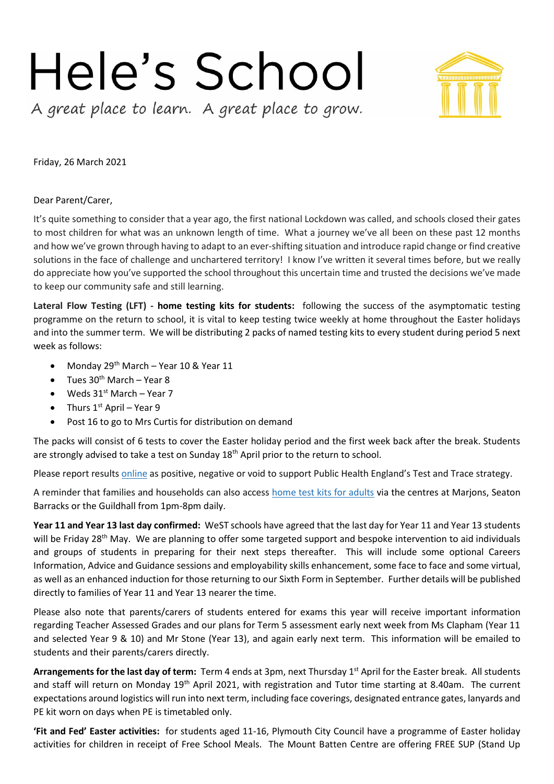## Hele's School

A great place to learn. A great place to grow.

Friday, 26 March 2021

## Dear Parent/Carer,

It's quite something to consider that a year ago, the first national Lockdown was called, and schools closed their gates to most children for what was an unknown length of time. What a journey we've all been on these past 12 months and how we've grown through having to adapt to an ever-shifting situation and introduce rapid change or find creative solutions in the face of challenge and unchartered territory! I know I've written it several times before, but we really do appreciate how you've supported the school throughout this uncertain time and trusted the decisions we've made to keep our community safe and still learning.

**Lateral Flow Testing (LFT) - home testing kits for students:** following the success of the asymptomatic testing programme on the return to school, it is vital to keep testing twice weekly at home throughout the Easter holidays and into the summer term. We will be distributing 2 packs of named testing kits to every student during period 5 next week as follows:

- Monday 29<sup>th</sup> March Year 10 & Year 11
- $\bullet$  Tues 30<sup>th</sup> March Year 8
- Weds  $31^{st}$  March Year 7
- Thurs  $1^{st}$  April Year 9
- Post 16 to go to Mrs Curtis for distribution on demand

The packs will consist of 6 tests to cover the Easter holiday period and the first week back after the break. Students are strongly advised to take a test on Sunday  $18<sup>th</sup>$  April prior to the return to school.

Please report result[s online](https://www.gov.uk/report-covid19-result?utm_source=23%20March%202021%20C19&utm_medium=Daily%20Email%20C19&utm_campaign=DfE%20C19) as positive, negative or void to support Public Health England's Test and Trace strategy.

A reminder that families and households can also access [home test kits for adults](http://www.gov.uk/school-household-testing?utm_source=23%20March%202021%20C19&utm_medium=Daily%20Email%20C19&utm_campaign=DfE%20C19) via the centres at Marjons, Seaton Barracks or the Guildhall from 1pm-8pm daily.

**Year 11 and Year 13 last day confirmed:** WeST schools have agreed that the last day for Year 11 and Year 13 students will be Friday 28<sup>th</sup> May. We are planning to offer some targeted support and bespoke intervention to aid individuals and groups of students in preparing for their next steps thereafter. This will include some optional Careers Information, Advice and Guidance sessions and employability skills enhancement, some face to face and some virtual, as well as an enhanced induction for those returning to our Sixth Form in September. Further details will be published directly to families of Year 11 and Year 13 nearer the time.

Please also note that parents/carers of students entered for exams this year will receive important information regarding Teacher Assessed Grades and our plans for Term 5 assessment early next week from Ms Clapham (Year 11 and selected Year 9 & 10) and Mr Stone (Year 13), and again early next term. This information will be emailed to students and their parents/carers directly.

**Arrangements for the last day of term:** Term 4 ends at 3pm, next Thursday 1st April for the Easter break. All students and staff will return on Monday 19<sup>th</sup> April 2021, with registration and Tutor time starting at 8.40am. The current expectations around logistics will run into next term, including face coverings, designated entrance gates, lanyards and PE kit worn on days when PE is timetabled only.

**'Fit and Fed' Easter activities:** for students aged 11-16, Plymouth City Council have a programme of Easter holiday activities for children in receipt of Free School Meals. The Mount Batten Centre are offering FREE SUP (Stand Up